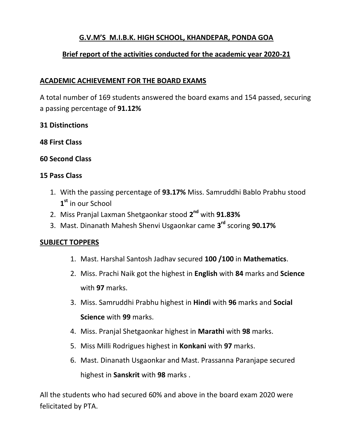# **G.V.M'S M.I.B.K. HIGH SCHOOL, KHANDEPAR, PONDA GOA**

# **Brief report of the activities conducted for the academic year 2020-21**

#### **ACADEMIC ACHIEVEMENT FOR THE BOARD EXAMS**

A total number of 169 students answered the board exams and 154 passed, securing a passing percentage of **91.12%**

#### **31 Distinctions**

**48 First Class**

## **60 Second Class**

#### **15 Pass Class**

- 1. With the passing percentage of **93.17%** Miss. Samruddhi Bablo Prabhu stood **1 st** in our School
- 2. Miss Pranjal Laxman Shetgaonkar stood **2 nd** with **91.83%**
- 3. Mast. Dinanath Mahesh Shenvi Usgaonkar came **3 rd** scoring **90.17%**

#### **SUBJECT TOPPERS**

- 1. Mast. Harshal Santosh Jadhav secured **100 /100** in **Mathematics**.
- 2. Miss. Prachi Naik got the highest in **English** with **84** marks and **Science** with **97** marks.
- 3. Miss. Samruddhi Prabhu highest in **Hindi** with **96** marks and **Social Science** with **99** marks.
- 4. Miss. Pranjal Shetgaonkar highest in **Marathi** with **98** marks.
- 5. Miss Milli Rodrigues highest in **Konkani** with **97** marks.
- 6. Mast. Dinanath Usgaonkar and Mast. Prassanna Paranjape secured highest in **Sanskrit** with **98** marks .

All the students who had secured 60% and above in the board exam 2020 were felicitated by PTA.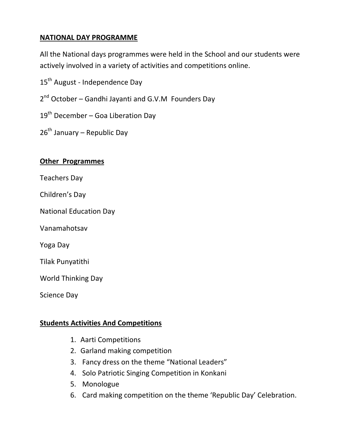## **NATIONAL DAY PROGRAMME**

All the National days programmes were held in the School and our students were actively involved in a variety of activities and competitions online.

15<sup>th</sup> August - Independence Day

2<sup>nd</sup> October – Gandhi Jayanti and G.V.M Founders Day

 $19<sup>th</sup>$  December – Goa Liberation Dav

 $26<sup>th</sup>$  January – Republic Day

#### **Other Programmes**

Teachers Day

Children's Day

National Education Day

Vanamahotsav

Yoga Day

Tilak Punyatithi

World Thinking Day

Science Day

## **Students Activities And Competitions**

- 1. Aarti Competitions
- 2. Garland making competition
- 3. Fancy dress on the theme "National Leaders"
- 4. Solo Patriotic Singing Competition in Konkani
- 5. Monologue
- 6. Card making competition on the theme 'Republic Day' Celebration.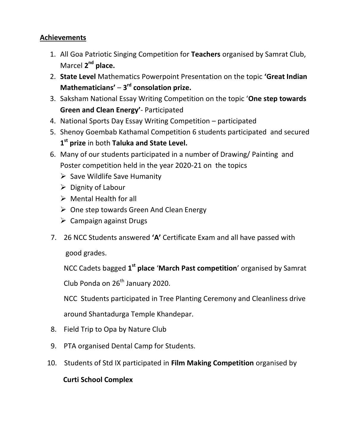## **Achievements**

- 1. All Goa Patriotic Singing Competition for **Teachers** organised by Samrat Club, Marcel 2<sup>nd</sup> place.
- 2. **State Level** Mathematics Powerpoint Presentation on the topic **'Great Indian**  Mathematicians' – 3<sup>rd</sup> consolation prize.
- 3. Saksham National Essay Writing Competition on the topic '**One step towards Green and Clean Energy'**- Participated
- 4. National Sports Day Essay Writing Competition participated
- 5. Shenoy Goembab Kathamal Competition 6 students participated and secured **1 st prize** in both **Taluka and State Level.**
- 6. Many of our students participated in a number of Drawing/ Painting and Poster competition held in the year 2020-21 on the topics
	- $\triangleright$  Save Wildlife Save Humanity
	- $\triangleright$  Dignity of Labour
	- $\triangleright$  Mental Health for all
	- $\triangleright$  One step towards Green And Clean Energy
	- $\triangleright$  Campaign against Drugs
- 7. 26 NCC Students answered **'A'** Certificate Exam and all have passed with

good grades.

NCC Cadets bagged **1 st place** '**March Past competition**' organised by Samrat

Club Ponda on  $26<sup>th</sup>$  January 2020.

NCC Students participated in Tree Planting Ceremony and Cleanliness drive

around Shantadurga Temple Khandepar.

- 8. Field Trip to Opa by Nature Club
- 9. PTA organised Dental Camp for Students.
- 10. Students of Std IX participated in **Film Making Competition** organised by

# **Curti School Complex**